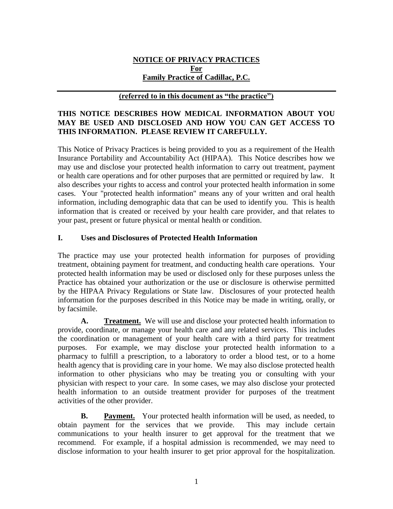#### **NOTICE OF PRIVACY PRACTICES For Family Practice of Cadillac, P.C.**

#### **(referred to in this document as "the practice")**

### **THIS NOTICE DESCRIBES HOW MEDICAL INFORMATION ABOUT YOU MAY BE USED AND DISCLOSED AND HOW YOU CAN GET ACCESS TO THIS INFORMATION. PLEASE REVIEW IT CAREFULLY.**

This Notice of Privacy Practices is being provided to you as a requirement of the Health Insurance Portability and Accountability Act (HIPAA). This Notice describes how we may use and disclose your protected health information to carry out treatment, payment or health care operations and for other purposes that are permitted or required by law. It also describes your rights to access and control your protected health information in some cases. Your "protected health information" means any of your written and oral health information, including demographic data that can be used to identify you. This is health information that is created or received by your health care provider, and that relates to your past, present or future physical or mental health or condition.

### **I. Uses and Disclosures of Protected Health Information**

The practice may use your protected health information for purposes of providing treatment, obtaining payment for treatment, and conducting health care operations. Your protected health information may be used or disclosed only for these purposes unless the Practice has obtained your authorization or the use or disclosure is otherwise permitted by the HIPAA Privacy Regulations or State law. Disclosures of your protected health information for the purposes described in this Notice may be made in writing, orally, or by facsimile.

**A. Treatment.** We will use and disclose your protected health information to provide, coordinate, or manage your health care and any related services. This includes the coordination or management of your health care with a third party for treatment purposes. For example, we may disclose your protected health information to a pharmacy to fulfill a prescription, to a laboratory to order a blood test, or to a home health agency that is providing care in your home. We may also disclose protected health information to other physicians who may be treating you or consulting with your physician with respect to your care. In some cases, we may also disclose your protected health information to an outside treatment provider for purposes of the treatment activities of the other provider.

**B. Payment.** Your protected health information will be used, as needed, to obtain payment for the services that we provide. This may include certain communications to your health insurer to get approval for the treatment that we recommend. For example, if a hospital admission is recommended, we may need to disclose information to your health insurer to get prior approval for the hospitalization.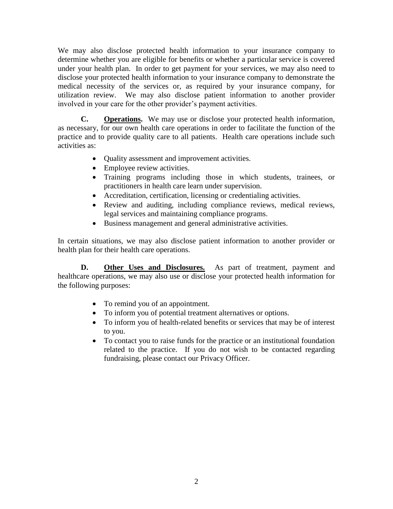We may also disclose protected health information to your insurance company to determine whether you are eligible for benefits or whether a particular service is covered under your health plan. In order to get payment for your services, we may also need to disclose your protected health information to your insurance company to demonstrate the medical necessity of the services or, as required by your insurance company, for utilization review. We may also disclose patient information to another provider involved in your care for the other provider's payment activities.

**C. Operations.** We may use or disclose your protected health information, as necessary, for our own health care operations in order to facilitate the function of the practice and to provide quality care to all patients. Health care operations include such activities as:

- Quality assessment and improvement activities.
- Employee review activities.
- Training programs including those in which students, trainees, or practitioners in health care learn under supervision.
- Accreditation, certification, licensing or credentialing activities.
- Review and auditing, including compliance reviews, medical reviews, legal services and maintaining compliance programs.
- Business management and general administrative activities.

In certain situations, we may also disclose patient information to another provider or health plan for their health care operations.

**D. Other Uses and Disclosures.** As part of treatment, payment and healthcare operations, we may also use or disclose your protected health information for the following purposes:

- To remind you of an appointment.
- To inform you of potential treatment alternatives or options.
- To inform you of health-related benefits or services that may be of interest to you.
- To contact you to raise funds for the practice or an institutional foundation related to the practice. If you do not wish to be contacted regarding fundraising, please contact our Privacy Officer.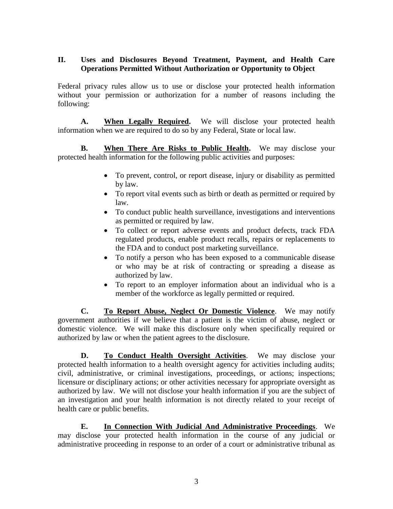### **II. Uses and Disclosures Beyond Treatment, Payment, and Health Care Operations Permitted Without Authorization or Opportunity to Object**

Federal privacy rules allow us to use or disclose your protected health information without your permission or authorization for a number of reasons including the following:

**A. When Legally Required.** We will disclose your protected health information when we are required to do so by any Federal, State or local law.

**B. When There Are Risks to Public Health.** We may disclose your protected health information for the following public activities and purposes:

- To prevent, control, or report disease, injury or disability as permitted by law.
- To report vital events such as birth or death as permitted or required by law.
- To conduct public health surveillance, investigations and interventions as permitted or required by law.
- To collect or report adverse events and product defects, track FDA regulated products, enable product recalls, repairs or replacements to the FDA and to conduct post marketing surveillance.
- To notify a person who has been exposed to a communicable disease or who may be at risk of contracting or spreading a disease as authorized by law.
- To report to an employer information about an individual who is a member of the workforce as legally permitted or required.

**C. To Report Abuse, Neglect Or Domestic Violence**. We may notify government authorities if we believe that a patient is the victim of abuse, neglect or domestic violence. We will make this disclosure only when specifically required or authorized by law or when the patient agrees to the disclosure.

**D. To Conduct Health Oversight Activities**. We may disclose your protected health information to a health oversight agency for activities including audits; civil, administrative, or criminal investigations, proceedings, or actions; inspections; licensure or disciplinary actions; or other activities necessary for appropriate oversight as authorized by law. We will not disclose your health information if you are the subject of an investigation and your health information is not directly related to your receipt of health care or public benefits.

**E. In Connection With Judicial And Administrative Proceedings**. We may disclose your protected health information in the course of any judicial or administrative proceeding in response to an order of a court or administrative tribunal as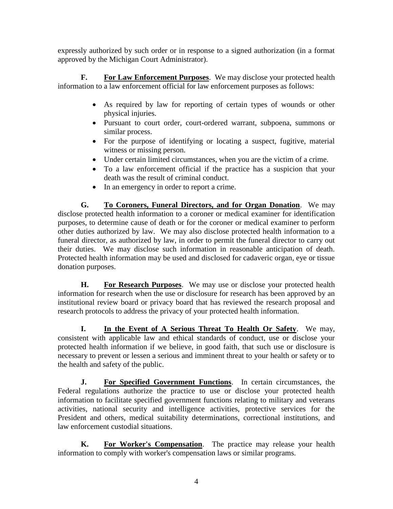expressly authorized by such order or in response to a signed authorization (in a format approved by the Michigan Court Administrator).

F. For Law Enforcement Purposes. We may disclose your protected health information to a law enforcement official for law enforcement purposes as follows:

- As required by law for reporting of certain types of wounds or other physical injuries.
- Pursuant to court order, court-ordered warrant, subpoena, summons or similar process.
- For the purpose of identifying or locating a suspect, fugitive, material witness or missing person.
- Under certain limited circumstances, when you are the victim of a crime.
- To a law enforcement official if the practice has a suspicion that your death was the result of criminal conduct.
- In an emergency in order to report a crime.

**G. To Coroners, Funeral Directors, and for Organ Donation**. We may disclose protected health information to a coroner or medical examiner for identification purposes, to determine cause of death or for the coroner or medical examiner to perform other duties authorized by law. We may also disclose protected health information to a funeral director, as authorized by law, in order to permit the funeral director to carry out their duties. We may disclose such information in reasonable anticipation of death. Protected health information may be used and disclosed for cadaveric organ, eye or tissue donation purposes.

**H. For Research Purposes**. We may use or disclose your protected health information for research when the use or disclosure for research has been approved by an institutional review board or privacy board that has reviewed the research proposal and research protocols to address the privacy of your protected health information.

**I. In the Event of A Serious Threat To Health Or Safety**. We may, consistent with applicable law and ethical standards of conduct, use or disclose your protected health information if we believe, in good faith, that such use or disclosure is necessary to prevent or lessen a serious and imminent threat to your health or safety or to the health and safety of the public.

**J. For Specified Government Functions**. In certain circumstances, the Federal regulations authorize the practice to use or disclose your protected health information to facilitate specified government functions relating to military and veterans activities, national security and intelligence activities, protective services for the President and others, medical suitability determinations, correctional institutions, and law enforcement custodial situations.

**K. For Worker's Compensation**. The practice may release your health information to comply with worker's compensation laws or similar programs.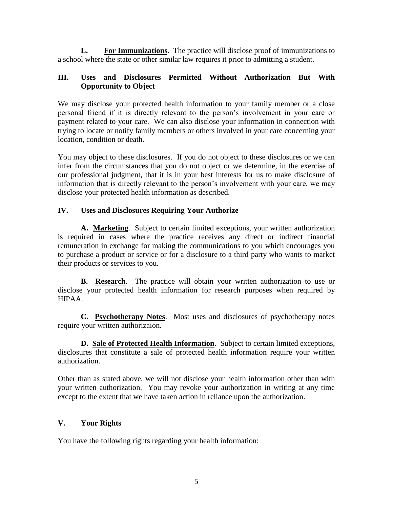**L. For Immunizations.** The practice will disclose proof of immunizations to a school where the state or other similar law requires it prior to admitting a student.

### **III. Uses and Disclosures Permitted Without Authorization But With Opportunity to Object**

We may disclose your protected health information to your family member or a close personal friend if it is directly relevant to the person's involvement in your care or payment related to your care. We can also disclose your information in connection with trying to locate or notify family members or others involved in your care concerning your location, condition or death.

You may object to these disclosures. If you do not object to these disclosures or we can infer from the circumstances that you do not object or we determine, in the exercise of our professional judgment, that it is in your best interests for us to make disclosure of information that is directly relevant to the person's involvement with your care, we may disclose your protected health information as described.

### **IV. Uses and Disclosures Requiring Your Authorize**

**A. Marketing**. Subject to certain limited exceptions, your written authorization is required in cases where the practice receives any direct or indirect financial remuneration in exchange for making the communications to you which encourages you to purchase a product or service or for a disclosure to a third party who wants to market their products or services to you.

**B. Research**.The practice will obtain your written authorization to use or disclose your protected health information for research purposes when required by HIPAA.

**C. Psychotherapy Notes**. Most uses and disclosures of psychotherapy notes require your written authorizaion.

**D. Sale of Protected Health Information**. Subject to certain limited exceptions, disclosures that constitute a sale of protected health information require your written authorization.

Other than as stated above, we will not disclose your health information other than with your written authorization. You may revoke your authorization in writing at any time except to the extent that we have taken action in reliance upon the authorization.

#### **V. Your Rights**

You have the following rights regarding your health information: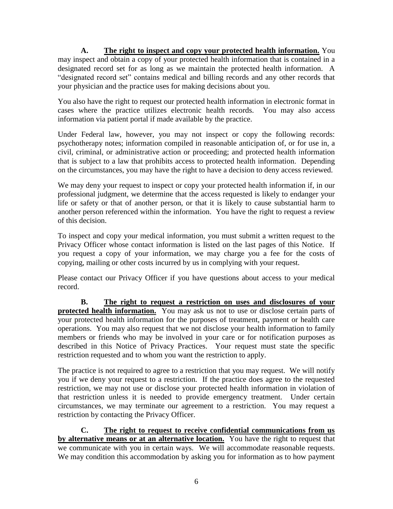**A. The right to inspect and copy your protected health information.** You may inspect and obtain a copy of your protected health information that is contained in a designated record set for as long as we maintain the protected health information. A "designated record set" contains medical and billing records and any other records that your physician and the practice uses for making decisions about you.

You also have the right to request our protected health information in electronic format in cases where the practice utilizes electronic health records. You may also access information via patient portal if made available by the practice.

Under Federal law, however, you may not inspect or copy the following records: psychotherapy notes; information compiled in reasonable anticipation of, or for use in, a civil, criminal, or administrative action or proceeding; and protected health information that is subject to a law that prohibits access to protected health information. Depending on the circumstances, you may have the right to have a decision to deny access reviewed.

We may deny your request to inspect or copy your protected health information if, in our professional judgment, we determine that the access requested is likely to endanger your life or safety or that of another person, or that it is likely to cause substantial harm to another person referenced within the information. You have the right to request a review of this decision.

To inspect and copy your medical information, you must submit a written request to the Privacy Officer whose contact information is listed on the last pages of this Notice. If you request a copy of your information, we may charge you a fee for the costs of copying, mailing or other costs incurred by us in complying with your request.

Please contact our Privacy Officer if you have questions about access to your medical record.

**B. The right to request a restriction on uses and disclosures of your protected health information.** You may ask us not to use or disclose certain parts of your protected health information for the purposes of treatment, payment or health care operations. You may also request that we not disclose your health information to family members or friends who may be involved in your care or for notification purposes as described in this Notice of Privacy Practices. Your request must state the specific restriction requested and to whom you want the restriction to apply.

The practice is not required to agree to a restriction that you may request. We will notify you if we deny your request to a restriction. If the practice does agree to the requested restriction, we may not use or disclose your protected health information in violation of that restriction unless it is needed to provide emergency treatment. Under certain circumstances, we may terminate our agreement to a restriction. You may request a restriction by contacting the Privacy Officer.

**C. The right to request to receive confidential communications from us by alternative means or at an alternative location.** You have the right to request that we communicate with you in certain ways. We will accommodate reasonable requests. We may condition this accommodation by asking you for information as to how payment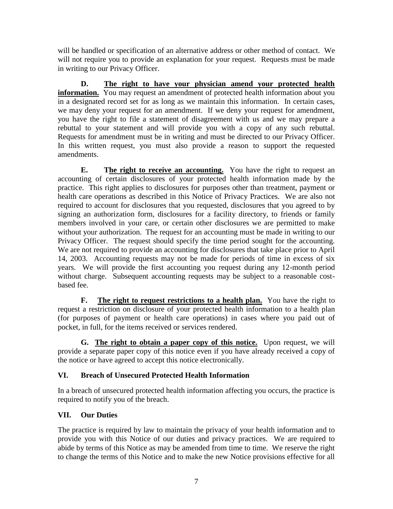will be handled or specification of an alternative address or other method of contact. We will not require you to provide an explanation for your request. Requests must be made in writing to our Privacy Officer.

**D. The right to have your physician amend your protected health information.** You may request an amendment of protected health information about you in a designated record set for as long as we maintain this information. In certain cases, we may deny your request for an amendment. If we deny your request for amendment, you have the right to file a statement of disagreement with us and we may prepare a rebuttal to your statement and will provide you with a copy of any such rebuttal. Requests for amendment must be in writing and must be directed to our Privacy Officer. In this written request, you must also provide a reason to support the requested amendments.

**E. The right to receive an accounting.** You have the right to request an accounting of certain disclosures of your protected health information made by the practice. This right applies to disclosures for purposes other than treatment, payment or health care operations as described in this Notice of Privacy Practices. We are also not required to account for disclosures that you requested, disclosures that you agreed to by signing an authorization form, disclosures for a facility directory, to friends or family members involved in your care, or certain other disclosures we are permitted to make without your authorization. The request for an accounting must be made in writing to our Privacy Officer. The request should specify the time period sought for the accounting. We are not required to provide an accounting for disclosures that take place prior to April 14, 2003. Accounting requests may not be made for periods of time in excess of six years. We will provide the first accounting you request during any 12-month period without charge. Subsequent accounting requests may be subject to a reasonable costbased fee.

**F. The right to request restrictions to a health plan.** You have the right to request a restriction on disclosure of your protected health information to a health plan (for purposes of payment or health care operations) in cases where you paid out of pocket, in full, for the items received or services rendered.

**G. The right to obtain a paper copy of this notice.** Upon request, we will provide a separate paper copy of this notice even if you have already received a copy of the notice or have agreed to accept this notice electronically.

# **VI. Breach of Unsecured Protected Health Information**

In a breach of unsecured protected health information affecting you occurs, the practice is required to notify you of the breach.

# **VII. Our Duties**

The practice is required by law to maintain the privacy of your health information and to provide you with this Notice of our duties and privacy practices. We are required to abide by terms of this Notice as may be amended from time to time. We reserve the right to change the terms of this Notice and to make the new Notice provisions effective for all